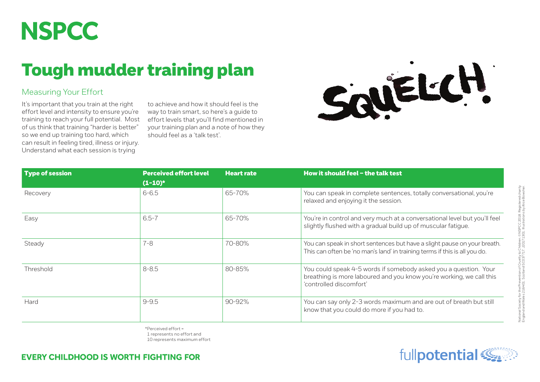## **NSPCC**

## Tough mudder training plan

## Measuring Your Effort

It's important that you train at the right effort level and intensity to ensure you're training to reach your full potential. Most of us think that training "harder is better" so we end up training too hard, which can result in feeling tired, illness or injury. Understand what each session is trying

to achieve and how it should feel is the way to train smart, so here's a guide to effort levels that you'll find mentioned in your training plan and a note of how they should feel as a 'talk test'.



| <b>Type of session</b> | <b>Perceived effort level</b><br>$(1-10)^*$ | <b>Heart rate</b> | How it should feel - the talk test                                                                                                                                  |
|------------------------|---------------------------------------------|-------------------|---------------------------------------------------------------------------------------------------------------------------------------------------------------------|
| Recovery               | $6 - 6.5$                                   | 65-70%            | You can speak in complete sentences, totally conversational, you're<br>relaxed and enjoying it the session.                                                         |
| Easy                   | $6.5 - 7$                                   | 65-70%            | You're in control and very much at a conversational level but you'll feel<br>slightly flushed with a gradual build up of muscular fatigue.                          |
| Steady                 | $7 - 8$                                     | 70-80%            | You can speak in short sentences but have a slight pause on your breath.<br>This can often be 'no man's land' in training terms if this is all you do.              |
| Threshold              | $8 - 8.5$                                   | $80 - 85%$        | You could speak 4-5 words if somebody asked you a question. Your<br>breathing is more laboured and you know you're working, we call this<br>'controlled discomfort' |
| Hard                   | $9 - 9.5$                                   | $90 - 92%$        | You can say only 2-3 words maximum and are out of breath but still<br>know that you could do more if you had to.                                                    |

\*Perceived effort = 1 represents no effort and 10 represents maximum effort